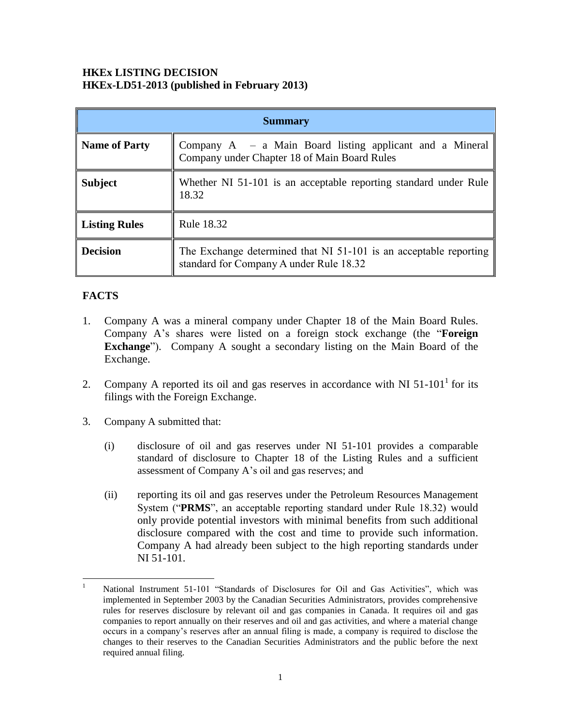## **HKEx LISTING DECISION HKEx-LD51-2013 (published in February 2013)**

| <b>Summary</b>       |                                                                                                              |
|----------------------|--------------------------------------------------------------------------------------------------------------|
| <b>Name of Party</b> | Company $A - a$ Main Board listing applicant and a Mineral<br>Company under Chapter 18 of Main Board Rules   |
| <b>Subject</b>       | Whether NI 51-101 is an acceptable reporting standard under Rule<br>18.32                                    |
| <b>Listing Rules</b> | Rule 18.32                                                                                                   |
| <b>Decision</b>      | The Exchange determined that NI 51-101 is an acceptable reporting<br>standard for Company A under Rule 18.32 |

## **FACTS**

- 1. Company A was a mineral company under Chapter 18 of the Main Board Rules. Company A's shares were listed on a foreign stock exchange (the "**Foreign Exchange**"). Company A sought a secondary listing on the Main Board of the Exchange.
- 2. Company A reported its oil and gas reserves in accordance with NI  $51-101<sup>1</sup>$  for its filings with the Foreign Exchange.
- 3. Company A submitted that:
	- (i) disclosure of oil and gas reserves under NI 51-101 provides a comparable standard of disclosure to Chapter 18 of the Listing Rules and a sufficient assessment of Company A's oil and gas reserves; and
	- (ii) reporting its oil and gas reserves under the Petroleum Resources Management System ("**PRMS**", an acceptable reporting standard under Rule 18.32) would only provide potential investors with minimal benefits from such additional disclosure compared with the cost and time to provide such information. Company A had already been subject to the high reporting standards under NI 51-101.

 $\mathbf{1}$ National Instrument 51-101 "Standards of Disclosures for Oil and Gas Activities", which was implemented in September 2003 by the Canadian Securities Administrators, provides comprehensive rules for reserves disclosure by relevant oil and gas companies in Canada. It requires oil and gas companies to report annually on their reserves and oil and gas activities, and where a material change occurs in a company's reserves after an annual filing is made, a company is required to disclose the changes to their reserves to the Canadian Securities Administrators and the public before the next required annual filing.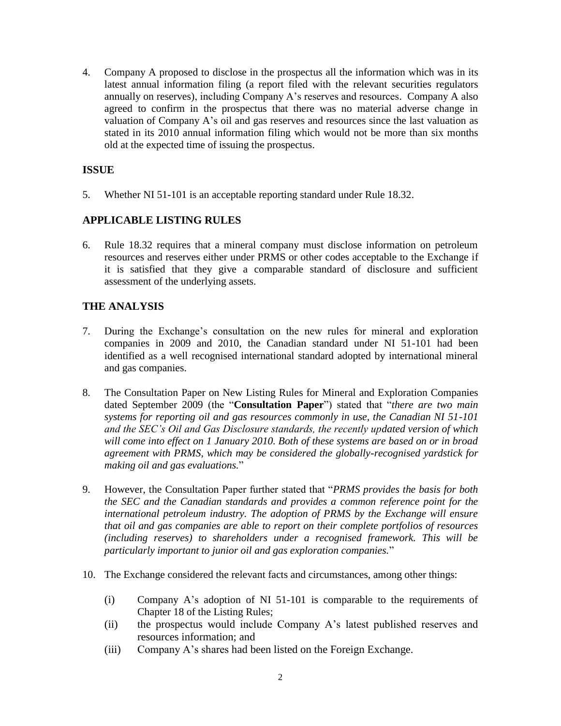4. Company A proposed to disclose in the prospectus all the information which was in its latest annual information filing (a report filed with the relevant securities regulators annually on reserves), including Company A's reserves and resources. Company A also agreed to confirm in the prospectus that there was no material adverse change in valuation of Company A's oil and gas reserves and resources since the last valuation as stated in its 2010 annual information filing which would not be more than six months old at the expected time of issuing the prospectus.

## **ISSUE**

5. Whether NI 51-101 is an acceptable reporting standard under Rule 18.32.

## **APPLICABLE LISTING RULES**

6. Rule 18.32 requires that a mineral company must disclose information on petroleum resources and reserves either under PRMS or other codes acceptable to the Exchange if it is satisfied that they give a comparable standard of disclosure and sufficient assessment of the underlying assets.

## **THE ANALYSIS**

- 7. During the Exchange's consultation on the new rules for mineral and exploration companies in 2009 and 2010, the Canadian standard under NI 51-101 had been identified as a well recognised international standard adopted by international mineral and gas companies.
- 8. The Consultation Paper on New Listing Rules for Mineral and Exploration Companies dated September 2009 (the "**Consultation Paper**") stated that "*there are two main systems for reporting oil and gas resources commonly in use, the Canadian NI 51-101 and the SEC's Oil and Gas Disclosure standards, the recently updated version of which will come into effect on 1 January 2010. Both of these systems are based on or in broad agreement with PRMS, which may be considered the globally-recognised yardstick for making oil and gas evaluations.*"
- 9. However, the Consultation Paper further stated that "*PRMS provides the basis for both the SEC and the Canadian standards and provides a common reference point for the international petroleum industry. The adoption of PRMS by the Exchange will ensure that oil and gas companies are able to report on their complete portfolios of resources (including reserves) to shareholders under a recognised framework. This will be particularly important to junior oil and gas exploration companies.*"
- 10. The Exchange considered the relevant facts and circumstances, among other things:
	- (i) Company A's adoption of NI 51-101 is comparable to the requirements of Chapter 18 of the Listing Rules;
	- (ii) the prospectus would include Company A's latest published reserves and resources information; and
	- (iii) Company A's shares had been listed on the Foreign Exchange.